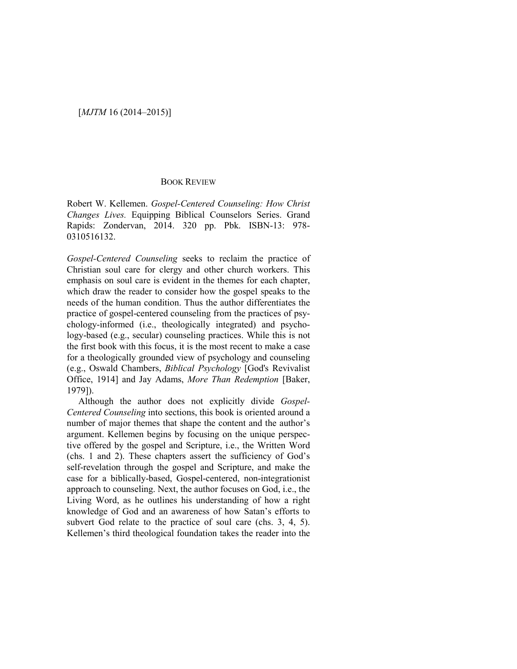## BOOK REVIEW

Robert W. Kellemen. *Gospel-Centered Counseling: How Christ Changes Lives.* Equipping Biblical Counselors Series. Grand Rapids: Zondervan, 2014. 320 pp. Pbk. ISBN-13: 978- 0310516132.

*Gospel-Centered Counseling* seeks to reclaim the practice of Christian soul care for clergy and other church workers. This emphasis on soul care is evident in the themes for each chapter, which draw the reader to consider how the gospel speaks to the needs of the human condition. Thus the author differentiates the practice of gospel-centered counseling from the practices of psychology-informed (i.e., theologically integrated) and psychology-based (e.g., secular) counseling practices. While this is not the first book with this focus, it is the most recent to make a case for a theologically grounded view of psychology and counseling (e.g., Oswald Chambers, *Biblical Psychology* [God's Revivalist Office, 1914] and Jay Adams, *More Than Redemption* [Baker, 1979]).

Although the author does not explicitly divide *Gospel-Centered Counseling* into sections, this book is oriented around a number of major themes that shape the content and the author's argument. Kellemen begins by focusing on the unique perspective offered by the gospel and Scripture, i.e., the Written Word (chs. 1 and 2). These chapters assert the sufficiency of God's self-revelation through the gospel and Scripture, and make the case for a biblically-based, Gospel-centered, non-integrationist approach to counseling. Next, the author focuses on God, i.e., the Living Word, as he outlines his understanding of how a right knowledge of God and an awareness of how Satan's efforts to subvert God relate to the practice of soul care (chs. 3, 4, 5). Kellemen's third theological foundation takes the reader into the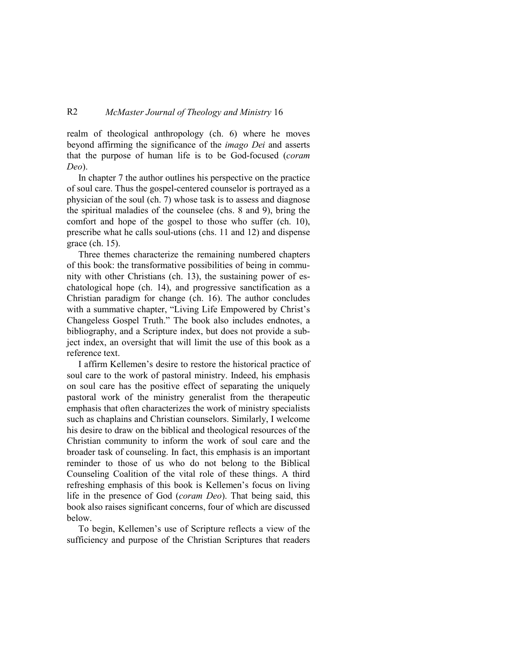## R2 *McMaster Journal of Theology and Ministry* 16

realm of theological anthropology (ch. 6) where he moves beyond affirming the significance of the *imago Dei* and asserts that the purpose of human life is to be God-focused (*coram Deo*).

In chapter 7 the author outlines his perspective on the practice of soul care. Thus the gospel-centered counselor is portrayed as a physician of the soul (ch. 7) whose task is to assess and diagnose the spiritual maladies of the counselee (chs. 8 and 9), bring the comfort and hope of the gospel to those who suffer (ch. 10), prescribe what he calls soul-utions (chs. 11 and 12) and dispense grace (ch. 15).

Three themes characterize the remaining numbered chapters of this book: the transformative possibilities of being in community with other Christians (ch. 13), the sustaining power of eschatological hope (ch. 14), and progressive sanctification as a Christian paradigm for change (ch. 16). The author concludes with a summative chapter, "Living Life Empowered by Christ's Changeless Gospel Truth." The book also includes endnotes, a bibliography, and a Scripture index, but does not provide a subject index, an oversight that will limit the use of this book as a reference text.

I affirm Kellemen's desire to restore the historical practice of soul care to the work of pastoral ministry. Indeed, his emphasis on soul care has the positive effect of separating the uniquely pastoral work of the ministry generalist from the therapeutic emphasis that often characterizes the work of ministry specialists such as chaplains and Christian counselors. Similarly, I welcome his desire to draw on the biblical and theological resources of the Christian community to inform the work of soul care and the broader task of counseling. In fact, this emphasis is an important reminder to those of us who do not belong to the Biblical Counseling Coalition of the vital role of these things. A third refreshing emphasis of this book is Kellemen's focus on living life in the presence of God (*coram Deo*). That being said, this book also raises significant concerns, four of which are discussed below.

To begin, Kellemen's use of Scripture reflects a view of the sufficiency and purpose of the Christian Scriptures that readers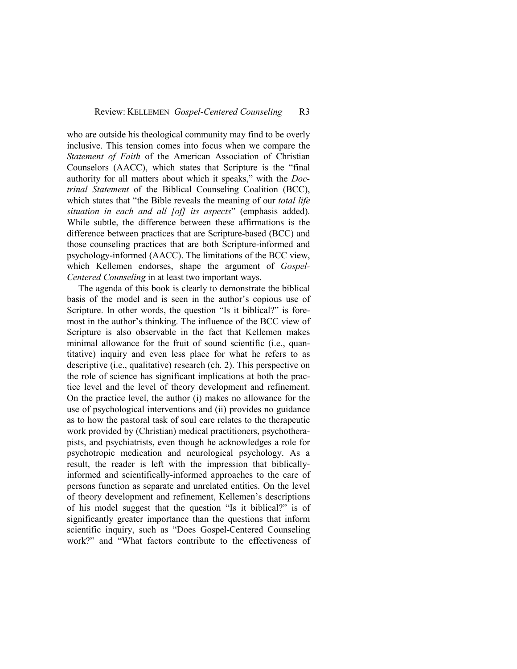who are outside his theological community may find to be overly inclusive. This tension comes into focus when we compare the *Statement of Faith* of the American Association of Christian Counselors (AACC), which states that Scripture is the "final authority for all matters about which it speaks," with the *Doctrinal Statement* of the Biblical Counseling Coalition (BCC), which states that "the Bible reveals the meaning of our *total life situation in each and all [of] its aspects*" (emphasis added). While subtle, the difference between these affirmations is the difference between practices that are Scripture-based (BCC) and those counseling practices that are both Scripture-informed and psychology-informed (AACC). The limitations of the BCC view, which Kellemen endorses, shape the argument of *Gospel-Centered Counseling* in at least two important ways.

The agenda of this book is clearly to demonstrate the biblical basis of the model and is seen in the author's copious use of Scripture. In other words, the question "Is it biblical?" is foremost in the author's thinking. The influence of the BCC view of Scripture is also observable in the fact that Kellemen makes minimal allowance for the fruit of sound scientific (i.e., quantitative) inquiry and even less place for what he refers to as descriptive (i.e., qualitative) research (ch. 2). This perspective on the role of science has significant implications at both the practice level and the level of theory development and refinement. On the practice level, the author (i) makes no allowance for the use of psychological interventions and (ii) provides no guidance as to how the pastoral task of soul care relates to the therapeutic work provided by (Christian) medical practitioners, psychotherapists, and psychiatrists, even though he acknowledges a role for psychotropic medication and neurological psychology. As a result, the reader is left with the impression that biblicallyinformed and scientifically-informed approaches to the care of persons function as separate and unrelated entities. On the level of theory development and refinement, Kellemen's descriptions of his model suggest that the question "Is it biblical?" is of significantly greater importance than the questions that inform scientific inquiry, such as "Does Gospel-Centered Counseling work?" and "What factors contribute to the effectiveness of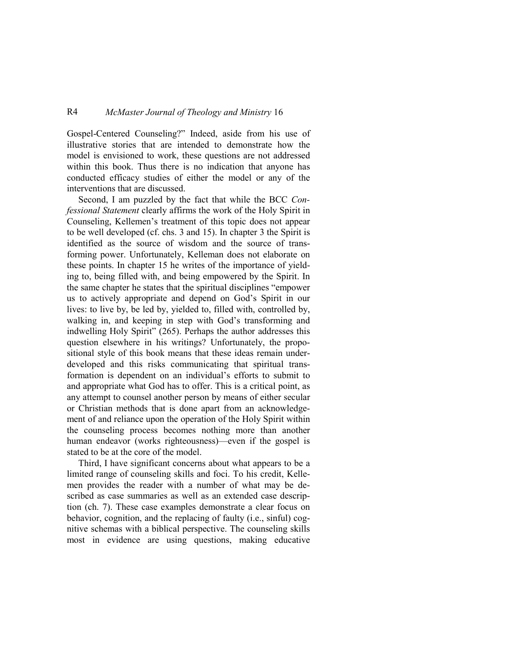## R4 *McMaster Journal of Theology and Ministry* 16

Gospel-Centered Counseling?" Indeed, aside from his use of illustrative stories that are intended to demonstrate how the model is envisioned to work, these questions are not addressed within this book. Thus there is no indication that anyone has conducted efficacy studies of either the model or any of the interventions that are discussed.

Second, I am puzzled by the fact that while the BCC *Confessional Statement* clearly affirms the work of the Holy Spirit in Counseling, Kellemen's treatment of this topic does not appear to be well developed (cf. chs. 3 and 15). In chapter 3 the Spirit is identified as the source of wisdom and the source of transforming power. Unfortunately, Kelleman does not elaborate on these points. In chapter 15 he writes of the importance of yielding to, being filled with, and being empowered by the Spirit. In the same chapter he states that the spiritual disciplines "empower us to actively appropriate and depend on God's Spirit in our lives: to live by, be led by, yielded to, filled with, controlled by, walking in, and keeping in step with God's transforming and indwelling Holy Spirit" (265). Perhaps the author addresses this question elsewhere in his writings? Unfortunately, the propositional style of this book means that these ideas remain underdeveloped and this risks communicating that spiritual transformation is dependent on an individual's efforts to submit to and appropriate what God has to offer. This is a critical point, as any attempt to counsel another person by means of either secular or Christian methods that is done apart from an acknowledgement of and reliance upon the operation of the Holy Spirit within the counseling process becomes nothing more than another human endeavor (works righteousness)—even if the gospel is stated to be at the core of the model.

Third, I have significant concerns about what appears to be a limited range of counseling skills and foci. To his credit, Kellemen provides the reader with a number of what may be described as case summaries as well as an extended case description (ch. 7). These case examples demonstrate a clear focus on behavior, cognition, and the replacing of faulty (i.e., sinful) cognitive schemas with a biblical perspective. The counseling skills most in evidence are using questions, making educative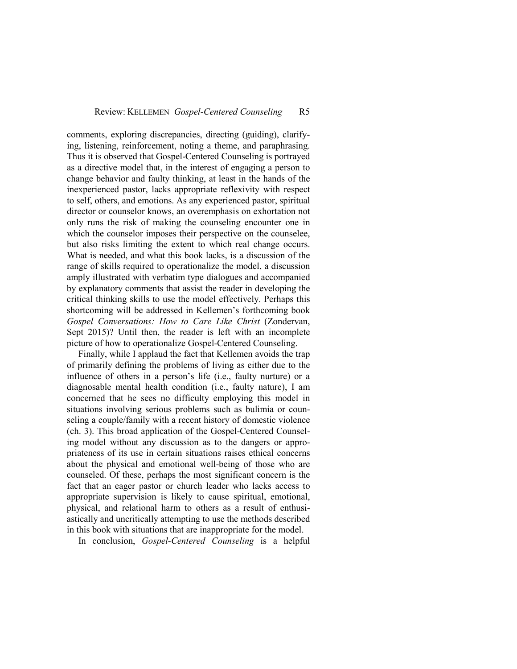comments, exploring discrepancies, directing (guiding), clarifying, listening, reinforcement, noting a theme, and paraphrasing. Thus it is observed that Gospel-Centered Counseling is portrayed as a directive model that, in the interest of engaging a person to change behavior and faulty thinking, at least in the hands of the inexperienced pastor, lacks appropriate reflexivity with respect to self, others, and emotions. As any experienced pastor, spiritual director or counselor knows, an overemphasis on exhortation not only runs the risk of making the counseling encounter one in which the counselor imposes their perspective on the counselee, but also risks limiting the extent to which real change occurs. What is needed, and what this book lacks, is a discussion of the range of skills required to operationalize the model, a discussion amply illustrated with verbatim type dialogues and accompanied by explanatory comments that assist the reader in developing the critical thinking skills to use the model effectively. Perhaps this shortcoming will be addressed in Kellemen's forthcoming book *Gospel Conversations: How to Care Like Christ* (Zondervan, Sept 2015)? Until then, the reader is left with an incomplete picture of how to operationalize Gospel-Centered Counseling.

Finally, while I applaud the fact that Kellemen avoids the trap of primarily defining the problems of living as either due to the influence of others in a person's life (i.e., faulty nurture) or a diagnosable mental health condition (i.e., faulty nature), I am concerned that he sees no difficulty employing this model in situations involving serious problems such as bulimia or counseling a couple/family with a recent history of domestic violence (ch. 3). This broad application of the Gospel-Centered Counseling model without any discussion as to the dangers or appropriateness of its use in certain situations raises ethical concerns about the physical and emotional well-being of those who are counseled. Of these, perhaps the most significant concern is the fact that an eager pastor or church leader who lacks access to appropriate supervision is likely to cause spiritual, emotional, physical, and relational harm to others as a result of enthusiastically and uncritically attempting to use the methods described in this book with situations that are inappropriate for the model.

In conclusion, *Gospel-Centered Counseling* is a helpful